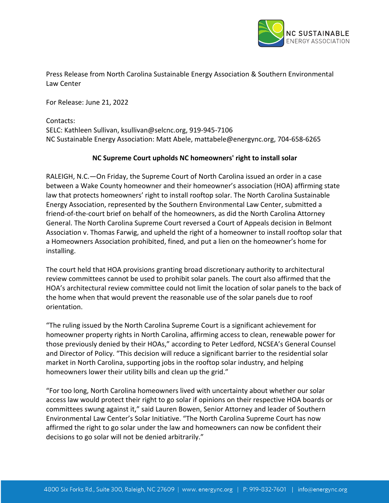

Press Release from North Carolina Sustainable Energy Association & Southern Environmental Law Center

For Release: June 21, 2022

Contacts: SELC: Kathleen Sullivan, ksullivan@selcnc.org, 919-945-7106 NC Sustainable Energy Association: Matt Abele, mattabele@energync.org, 704-658-6265

## **NC Supreme Court upholds NC homeowners' right to install solar**

RALEIGH, N.C.—On Friday, the Supreme Court of North Carolina issued an order in a case between a Wake County homeowner and their homeowner's association (HOA) affirming state law that protects homeowners' right to install rooftop solar. The North Carolina Sustainable Energy Association, represented by the Southern Environmental Law Center, submitted a friend-of-the-court brief on behalf of the homeowners, as did the North Carolina Attorney General. The North Carolina Supreme Court reversed a Court of Appeals decision in Belmont Association v. Thomas Farwig, and upheld the right of a homeowner to install rooftop solar that a Homeowners Association prohibited, fined, and put a lien on the homeowner's home for installing.

The court held that HOA provisions granting broad discretionary authority to architectural review committees cannot be used to prohibit solar panels. The court also affirmed that the HOA's architectural review committee could not limit the location of solar panels to the back of the home when that would prevent the reasonable use of the solar panels due to roof orientation.

"The ruling issued by the North Carolina Supreme Court is a significant achievement for homeowner property rights in North Carolina, affirming access to clean, renewable power for those previously denied by their HOAs," according to Peter Ledford, NCSEA's General Counsel and Director of Policy. "This decision will reduce a significant barrier to the residential solar market in North Carolina, supporting jobs in the rooftop solar industry, and helping homeowners lower their utility bills and clean up the grid."

"For too long, North Carolina homeowners lived with uncertainty about whether our solar access law would protect their right to go solar if opinions on their respective HOA boards or committees swung against it," said Lauren Bowen, Senior Attorney and leader of Southern Environmental Law Center's Solar Initiative. "The North Carolina Supreme Court has now affirmed the right to go solar under the law and homeowners can now be confident their decisions to go solar will not be denied arbitrarily."